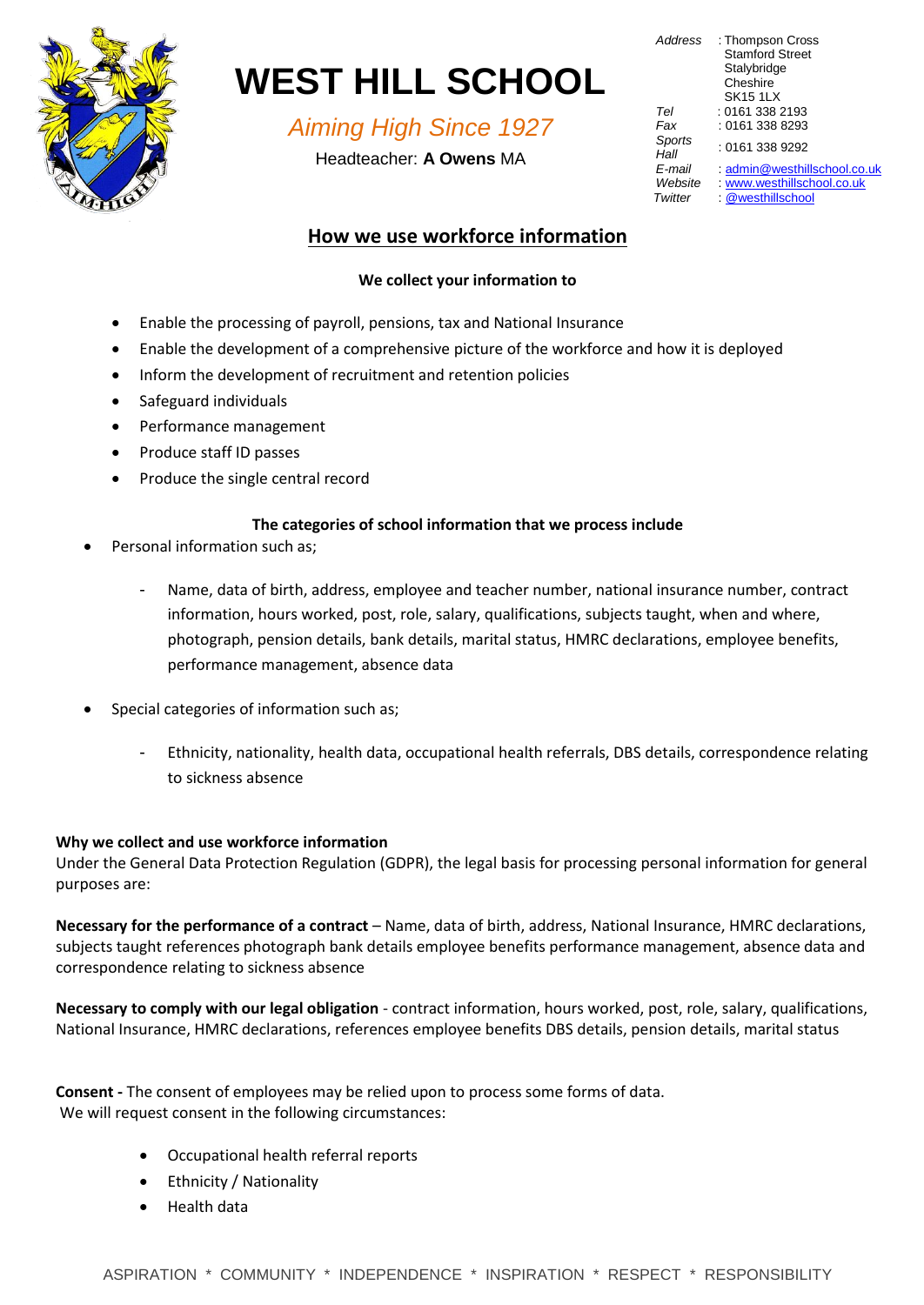

# **WEST HILL SCHOOL**

*Aiming High Since 1927*

Headteacher: **A Owens** MA

| : Thompson Cross<br><b>Stamford Street</b><br>Stalybridge<br>Cheshire<br><b>SK15 1LX</b> |
|------------------------------------------------------------------------------------------|
|                                                                                          |
| : 0161 338 2193                                                                          |
| : 0161 338 8293                                                                          |
| : 0161 338 9292                                                                          |
| : admin@westhillschool.co.uk                                                             |
| www.westhillschool.co.uk                                                                 |
| @westhillschool                                                                          |
|                                                                                          |

# **How we use workforce information**

# **We collect your information to**

- Enable the processing of payroll, pensions, tax and National Insurance
- Enable the development of a comprehensive picture of the workforce and how it is deployed
- Inform the development of recruitment and retention policies
- Safeguard individuals
- Performance management
- Produce staff ID passes
- Produce the single central record

## **The categories of school information that we process include**

- Personal information such as;
	- Name, data of birth, address, employee and teacher number, national insurance number, contract information, hours worked, post, role, salary, qualifications, subjects taught, when and where, photograph, pension details, bank details, marital status, HMRC declarations, employee benefits, performance management, absence data
- Special categories of information such as;
	- Ethnicity, nationality, health data, occupational health referrals, DBS details, correspondence relating to sickness absence

## **Why we collect and use workforce information**

Under the General Data Protection Regulation (GDPR), the legal basis for processing personal information for general purposes are:

**Necessary for the performance of a contract** – Name, data of birth, address, National Insurance, HMRC declarations, subjects taught references photograph bank details employee benefits performance management, absence data and correspondence relating to sickness absence

**Necessary to comply with our legal obligation** - contract information, hours worked, post, role, salary, qualifications, National Insurance, HMRC declarations, references employee benefits DBS details, pension details, marital status

**Consent -** The consent of employees may be relied upon to process some forms of data. We will request consent in the following circumstances:

- Occupational health referral reports
- Ethnicity / Nationality
- Health data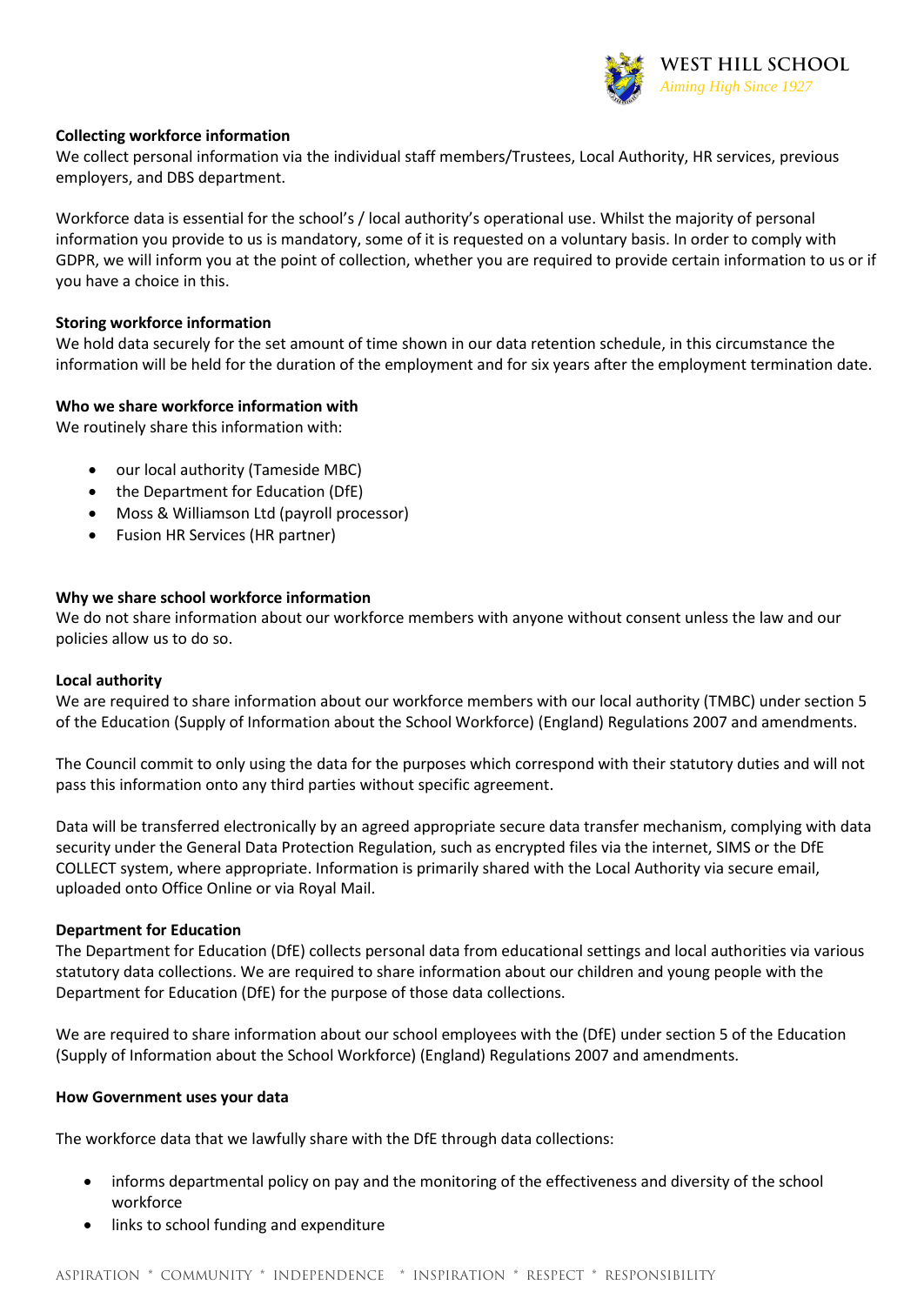

#### **Collecting workforce information**

We collect personal information via the individual staff members/Trustees, Local Authority, HR services, previous employers, and DBS department.

Workforce data is essential for the school's / local authority's operational use. Whilst the majority of personal information you provide to us is mandatory, some of it is requested on a voluntary basis. In order to comply with GDPR, we will inform you at the point of collection, whether you are required to provide certain information to us or if you have a choice in this.

#### **Storing workforce information**

We hold data securely for the set amount of time shown in our data retention schedule, in this circumstance the information will be held for the duration of the employment and for six years after the employment termination date.

#### **Who we share workforce information with**

We routinely share this information with:

- our local authority (Tameside MBC)
- the Department for Education (DfE)
- Moss & Williamson Ltd (payroll processor)
- Fusion HR Services (HR partner)

#### **Why we share school workforce information**

We do not share information about our workforce members with anyone without consent unless the law and our policies allow us to do so.

#### **Local authority**

We are required to share information about our workforce members with our local authority (TMBC) under section 5 of the Education (Supply of Information about the School Workforce) (England) Regulations 2007 and amendments.

The Council commit to only using the data for the purposes which correspond with their statutory duties and will not pass this information onto any third parties without specific agreement.

Data will be transferred electronically by an agreed appropriate secure data transfer mechanism, complying with data security under the General Data Protection Regulation, such as encrypted files via the internet, SIMS or the DfE COLLECT system, where appropriate. Information is primarily shared with the Local Authority via secure email, uploaded onto Office Online or via Royal Mail.

#### **Department for Education**

The Department for Education (DfE) collects personal data from educational settings and local authorities via various statutory data collections. We are required to share information about our children and young people with the Department for Education (DfE) for the purpose of those data collections.

We are required to share information about our school employees with the (DfE) under section 5 of the Education (Supply of Information about the School Workforce) (England) Regulations 2007 and amendments.

#### **How Government uses your data**

The workforce data that we lawfully share with the DfE through data collections:

- informs departmental policy on pay and the monitoring of the effectiveness and diversity of the school workforce
- links to school funding and expenditure